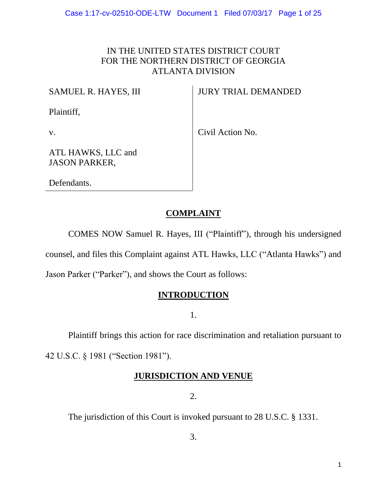# IN THE UNITED STATES DISTRICT COURT FOR THE NORTHERN DISTRICT OF GEORGIA ATLANTA DIVISION

# SAMUEL R. HAYES, III

JURY TRIAL DEMANDED

Plaintiff,

v.

Civil Action No.

ATL HAWKS, LLC and JASON PARKER,

Defendants.

# **COMPLAINT**

COMES NOW Samuel R. Hayes, III ("Plaintiff"), through his undersigned

counsel, and files this Complaint against ATL Hawks, LLC ("Atlanta Hawks") and

Jason Parker ("Parker"), and shows the Court as follows:

# **INTRODUCTION**

1.

Plaintiff brings this action for race discrimination and retaliation pursuant to 42 U.S.C. § 1981 ("Section 1981").

# **JURISDICTION AND VENUE**

2.

The jurisdiction of this Court is invoked pursuant to 28 U.S.C. § 1331.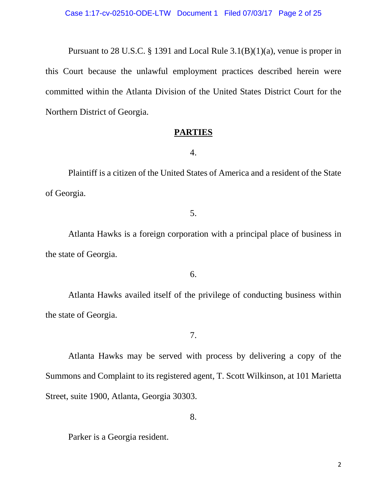Pursuant to 28 U.S.C. § 1391 and Local Rule 3.1(B)(1)(a), venue is proper in this Court because the unlawful employment practices described herein were committed within the Atlanta Division of the United States District Court for the Northern District of Georgia.

# **PARTIES**

4.

Plaintiff is a citizen of the United States of America and a resident of the State of Georgia.

# 5.

Atlanta Hawks is a foreign corporation with a principal place of business in the state of Georgia.

# 6.

Atlanta Hawks availed itself of the privilege of conducting business within the state of Georgia.

7.

Atlanta Hawks may be served with process by delivering a copy of the Summons and Complaint to its registered agent, T. Scott Wilkinson, at 101 Marietta Street, suite 1900, Atlanta, Georgia 30303.

8.

Parker is a Georgia resident.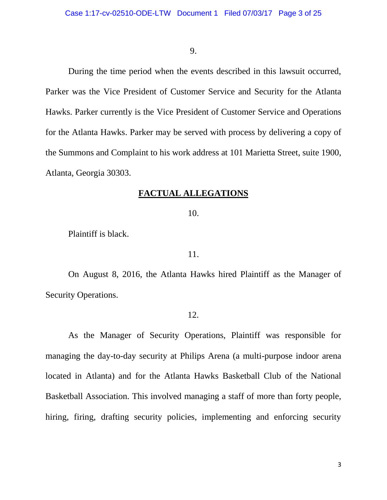#### 9.

During the time period when the events described in this lawsuit occurred, Parker was the Vice President of Customer Service and Security for the Atlanta Hawks. Parker currently is the Vice President of Customer Service and Operations for the Atlanta Hawks. Parker may be served with process by delivering a copy of the Summons and Complaint to his work address at 101 Marietta Street, suite 1900, Atlanta, Georgia 30303.

## **FACTUAL ALLEGATIONS**

#### 10.

Plaintiff is black.

## 11.

On August 8, 2016, the Atlanta Hawks hired Plaintiff as the Manager of Security Operations.

## 12.

As the Manager of Security Operations, Plaintiff was responsible for managing the day-to-day security at Philips Arena (a multi-purpose indoor arena located in Atlanta) and for the Atlanta Hawks Basketball Club of the National Basketball Association. This involved managing a staff of more than forty people, hiring, firing, drafting security policies, implementing and enforcing security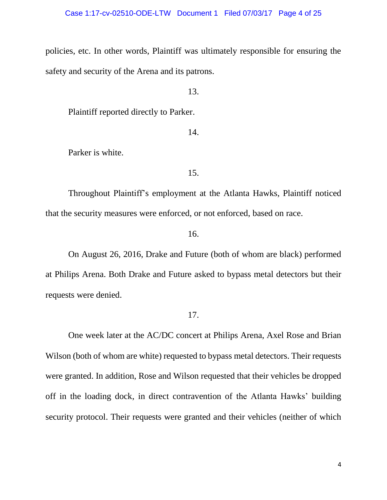policies, etc. In other words, Plaintiff was ultimately responsible for ensuring the safety and security of the Arena and its patrons.

13.

Plaintiff reported directly to Parker.

14.

Parker is white.

15.

Throughout Plaintiff's employment at the Atlanta Hawks, Plaintiff noticed that the security measures were enforced, or not enforced, based on race.

16.

On August 26, 2016, Drake and Future (both of whom are black) performed at Philips Arena. Both Drake and Future asked to bypass metal detectors but their requests were denied.

17.

One week later at the AC/DC concert at Philips Arena, Axel Rose and Brian Wilson (both of whom are white) requested to bypass metal detectors. Their requests were granted. In addition, Rose and Wilson requested that their vehicles be dropped off in the loading dock, in direct contravention of the Atlanta Hawks' building security protocol. Their requests were granted and their vehicles (neither of which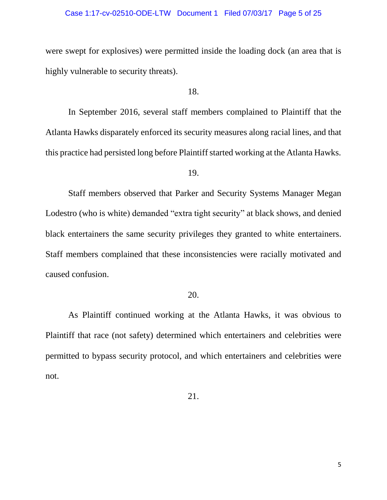#### Case 1:17-cv-02510-ODE-LTW Document 1 Filed 07/03/17 Page 5 of 25

were swept for explosives) were permitted inside the loading dock (an area that is highly vulnerable to security threats).

18.

In September 2016, several staff members complained to Plaintiff that the Atlanta Hawks disparately enforced its security measures along racial lines, and that this practice had persisted long before Plaintiff started working at the Atlanta Hawks.

19.

Staff members observed that Parker and Security Systems Manager Megan Lodestro (who is white) demanded "extra tight security" at black shows, and denied black entertainers the same security privileges they granted to white entertainers. Staff members complained that these inconsistencies were racially motivated and caused confusion.

# 20.

As Plaintiff continued working at the Atlanta Hawks, it was obvious to Plaintiff that race (not safety) determined which entertainers and celebrities were permitted to bypass security protocol, and which entertainers and celebrities were not.

21.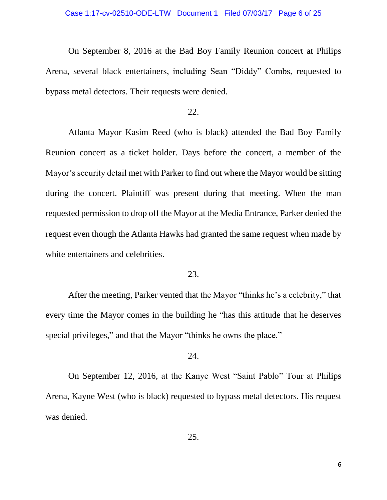On September 8, 2016 at the Bad Boy Family Reunion concert at Philips Arena, several black entertainers, including Sean "Diddy" Combs, requested to bypass metal detectors. Their requests were denied.

#### 22.

Atlanta Mayor Kasim Reed (who is black) attended the Bad Boy Family Reunion concert as a ticket holder. Days before the concert, a member of the Mayor's security detail met with Parker to find out where the Mayor would be sitting during the concert. Plaintiff was present during that meeting. When the man requested permission to drop off the Mayor at the Media Entrance, Parker denied the request even though the Atlanta Hawks had granted the same request when made by white entertainers and celebrities.

### 23.

After the meeting, Parker vented that the Mayor "thinks he's a celebrity," that every time the Mayor comes in the building he "has this attitude that he deserves special privileges," and that the Mayor "thinks he owns the place."

## 24.

On September 12, 2016, at the Kanye West "Saint Pablo" Tour at Philips Arena, Kayne West (who is black) requested to bypass metal detectors. His request was denied.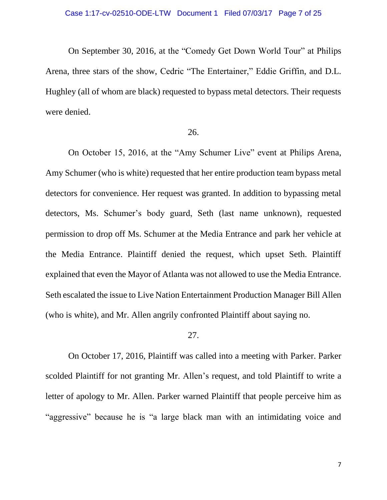On September 30, 2016, at the "Comedy Get Down World Tour" at Philips Arena, three stars of the show, Cedric "The Entertainer," Eddie Griffin, and D.L. Hughley (all of whom are black) requested to bypass metal detectors. Their requests were denied.

#### 26.

On October 15, 2016, at the "Amy Schumer Live" event at Philips Arena, Amy Schumer (who is white) requested that her entire production team bypass metal detectors for convenience. Her request was granted. In addition to bypassing metal detectors, Ms. Schumer's body guard, Seth (last name unknown), requested permission to drop off Ms. Schumer at the Media Entrance and park her vehicle at the Media Entrance. Plaintiff denied the request, which upset Seth. Plaintiff explained that even the Mayor of Atlanta was not allowed to use the Media Entrance. Seth escalated the issue to Live Nation Entertainment Production Manager Bill Allen (who is white), and Mr. Allen angrily confronted Plaintiff about saying no.

#### 27.

On October 17, 2016, Plaintiff was called into a meeting with Parker. Parker scolded Plaintiff for not granting Mr. Allen's request, and told Plaintiff to write a letter of apology to Mr. Allen. Parker warned Plaintiff that people perceive him as "aggressive" because he is "a large black man with an intimidating voice and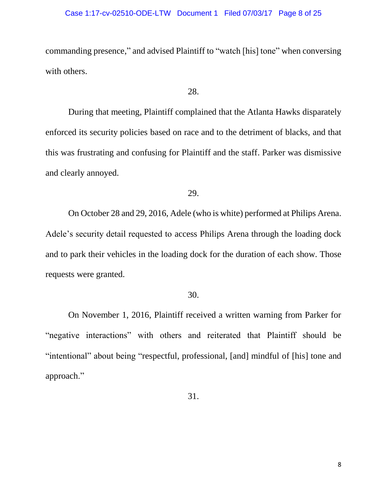#### Case 1:17-cv-02510-ODE-LTW Document 1 Filed 07/03/17 Page 8 of 25

commanding presence," and advised Plaintiff to "watch [his] tone" when conversing with others.

# 28.

During that meeting, Plaintiff complained that the Atlanta Hawks disparately enforced its security policies based on race and to the detriment of blacks, and that this was frustrating and confusing for Plaintiff and the staff. Parker was dismissive and clearly annoyed.

# 29.

On October 28 and 29, 2016, Adele (who is white) performed at Philips Arena. Adele's security detail requested to access Philips Arena through the loading dock and to park their vehicles in the loading dock for the duration of each show. Those requests were granted.

# 30.

On November 1, 2016, Plaintiff received a written warning from Parker for "negative interactions" with others and reiterated that Plaintiff should be "intentional" about being "respectful, professional, [and] mindful of [his] tone and approach."

31.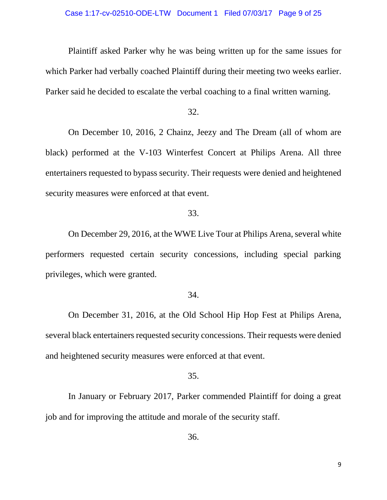#### Case 1:17-cv-02510-ODE-LTW Document 1 Filed 07/03/17 Page 9 of 25

Plaintiff asked Parker why he was being written up for the same issues for which Parker had verbally coached Plaintiff during their meeting two weeks earlier. Parker said he decided to escalate the verbal coaching to a final written warning.

32.

On December 10, 2016, 2 Chainz, Jeezy and The Dream (all of whom are black) performed at the V-103 Winterfest Concert at Philips Arena. All three entertainers requested to bypass security. Their requests were denied and heightened security measures were enforced at that event.

## 33.

On December 29, 2016, at the WWE Live Tour at Philips Arena, several white performers requested certain security concessions, including special parking privileges, which were granted.

#### 34.

On December 31, 2016, at the Old School Hip Hop Fest at Philips Arena, several black entertainers requested security concessions. Their requests were denied and heightened security measures were enforced at that event.

#### 35.

In January or February 2017, Parker commended Plaintiff for doing a great job and for improving the attitude and morale of the security staff.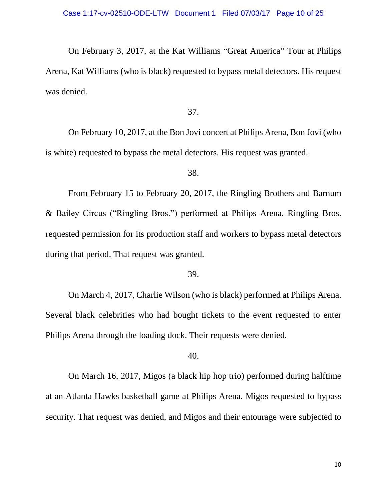On February 3, 2017, at the Kat Williams "Great America" Tour at Philips Arena, Kat Williams (who is black) requested to bypass metal detectors. His request was denied.

37.

On February 10, 2017, at the Bon Jovi concert at Philips Arena, Bon Jovi (who is white) requested to bypass the metal detectors. His request was granted.

38.

From February 15 to February 20, 2017, the Ringling Brothers and Barnum & Bailey Circus ("Ringling Bros.") performed at Philips Arena. Ringling Bros. requested permission for its production staff and workers to bypass metal detectors during that period. That request was granted.

39.

On March 4, 2017, Charlie Wilson (who is black) performed at Philips Arena. Several black celebrities who had bought tickets to the event requested to enter Philips Arena through the loading dock. Their requests were denied.

40.

On March 16, 2017, Migos (a black hip hop trio) performed during halftime at an Atlanta Hawks basketball game at Philips Arena. Migos requested to bypass security. That request was denied, and Migos and their entourage were subjected to

10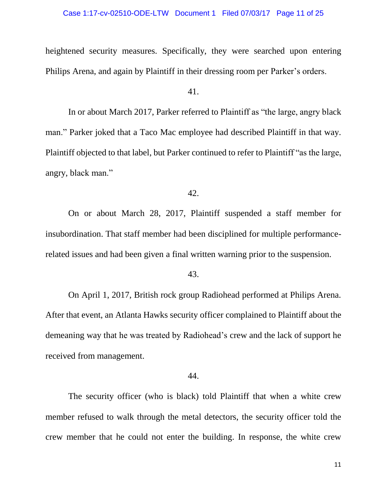heightened security measures. Specifically, they were searched upon entering Philips Arena, and again by Plaintiff in their dressing room per Parker's orders.

41.

In or about March 2017, Parker referred to Plaintiff as "the large, angry black man." Parker joked that a Taco Mac employee had described Plaintiff in that way. Plaintiff objected to that label, but Parker continued to refer to Plaintiff "as the large, angry, black man."

42.

On or about March 28, 2017, Plaintiff suspended a staff member for insubordination. That staff member had been disciplined for multiple performancerelated issues and had been given a final written warning prior to the suspension.

43.

On April 1, 2017, British rock group Radiohead performed at Philips Arena. After that event, an Atlanta Hawks security officer complained to Plaintiff about the demeaning way that he was treated by Radiohead's crew and the lack of support he received from management.

44.

The security officer (who is black) told Plaintiff that when a white crew member refused to walk through the metal detectors, the security officer told the crew member that he could not enter the building. In response, the white crew

11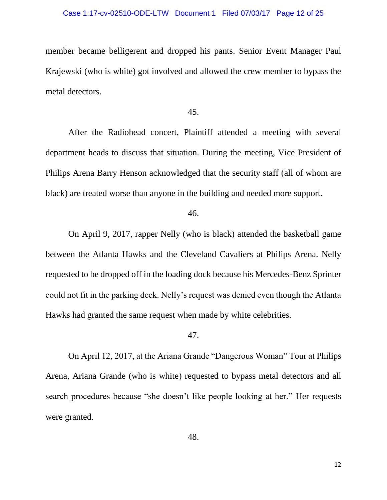#### Case 1:17-cv-02510-ODE-LTW Document 1 Filed 07/03/17 Page 12 of 25

member became belligerent and dropped his pants. Senior Event Manager Paul Krajewski (who is white) got involved and allowed the crew member to bypass the metal detectors.

#### 45.

After the Radiohead concert, Plaintiff attended a meeting with several department heads to discuss that situation. During the meeting, Vice President of Philips Arena Barry Henson acknowledged that the security staff (all of whom are black) are treated worse than anyone in the building and needed more support.

46.

On April 9, 2017, rapper Nelly (who is black) attended the basketball game between the Atlanta Hawks and the Cleveland Cavaliers at Philips Arena. Nelly requested to be dropped off in the loading dock because his Mercedes-Benz Sprinter could not fit in the parking deck. Nelly's request was denied even though the Atlanta Hawks had granted the same request when made by white celebrities.

#### 47.

On April 12, 2017, at the Ariana Grande "Dangerous Woman" Tour at Philips Arena, Ariana Grande (who is white) requested to bypass metal detectors and all search procedures because "she doesn't like people looking at her." Her requests were granted.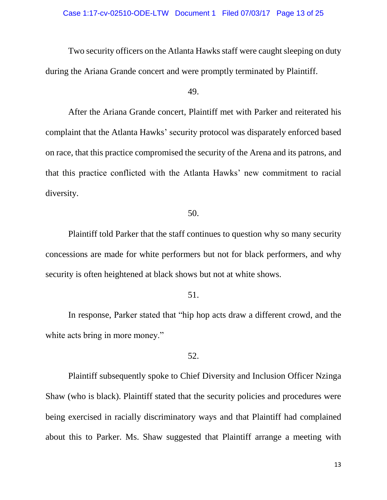Two security officers on the Atlanta Hawks staff were caught sleeping on duty during the Ariana Grande concert and were promptly terminated by Plaintiff.

#### 49.

After the Ariana Grande concert, Plaintiff met with Parker and reiterated his complaint that the Atlanta Hawks' security protocol was disparately enforced based on race, that this practice compromised the security of the Arena and its patrons, and that this practice conflicted with the Atlanta Hawks' new commitment to racial diversity.

# 50.

Plaintiff told Parker that the staff continues to question why so many security concessions are made for white performers but not for black performers, and why security is often heightened at black shows but not at white shows.

# 51.

In response, Parker stated that "hip hop acts draw a different crowd, and the white acts bring in more money."

### 52.

Plaintiff subsequently spoke to Chief Diversity and Inclusion Officer Nzinga Shaw (who is black). Plaintiff stated that the security policies and procedures were being exercised in racially discriminatory ways and that Plaintiff had complained about this to Parker. Ms. Shaw suggested that Plaintiff arrange a meeting with

13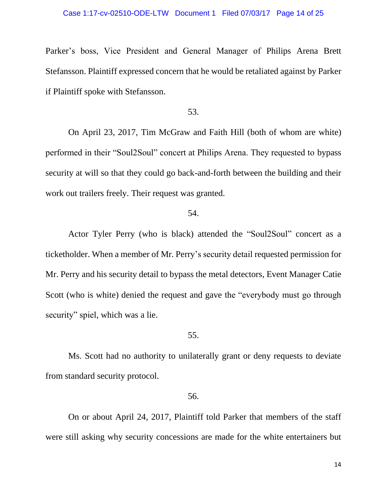Parker's boss, Vice President and General Manager of Philips Arena Brett Stefansson. Plaintiff expressed concern that he would be retaliated against by Parker if Plaintiff spoke with Stefansson.

## 53.

On April 23, 2017, Tim McGraw and Faith Hill (both of whom are white) performed in their "Soul2Soul" concert at Philips Arena. They requested to bypass security at will so that they could go back-and-forth between the building and their work out trailers freely. Their request was granted.

### 54.

Actor Tyler Perry (who is black) attended the "Soul2Soul" concert as a ticketholder. When a member of Mr. Perry's security detail requested permission for Mr. Perry and his security detail to bypass the metal detectors, Event Manager Catie Scott (who is white) denied the request and gave the "everybody must go through security" spiel, which was a lie.

#### 55.

Ms. Scott had no authority to unilaterally grant or deny requests to deviate from standard security protocol.

## 56.

On or about April 24, 2017, Plaintiff told Parker that members of the staff were still asking why security concessions are made for the white entertainers but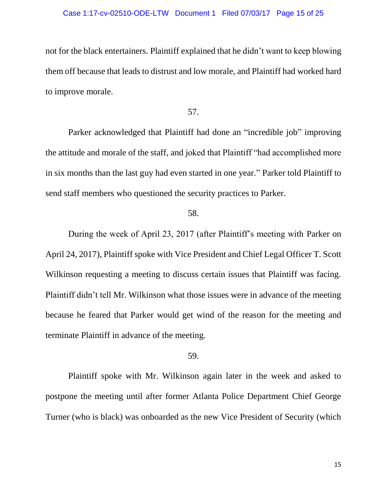#### Case 1:17-cv-02510-ODE-LTW Document 1 Filed 07/03/17 Page 15 of 25

not for the black entertainers. Plaintiff explained that he didn't want to keep blowing them off because that leads to distrust and low morale, and Plaintiff had worked hard to improve morale.

### 57.

Parker acknowledged that Plaintiff had done an "incredible job" improving the attitude and morale of the staff, and joked that Plaintiff "had accomplished more in six months than the last guy had even started in one year." Parker told Plaintiff to send staff members who questioned the security practices to Parker.

## 58.

During the week of April 23, 2017 (after Plaintiff's meeting with Parker on April 24, 2017), Plaintiff spoke with Vice President and Chief Legal Officer T. Scott Wilkinson requesting a meeting to discuss certain issues that Plaintiff was facing. Plaintiff didn't tell Mr. Wilkinson what those issues were in advance of the meeting because he feared that Parker would get wind of the reason for the meeting and terminate Plaintiff in advance of the meeting.

## 59.

Plaintiff spoke with Mr. Wilkinson again later in the week and asked to postpone the meeting until after former Atlanta Police Department Chief George Turner (who is black) was onboarded as the new Vice President of Security (which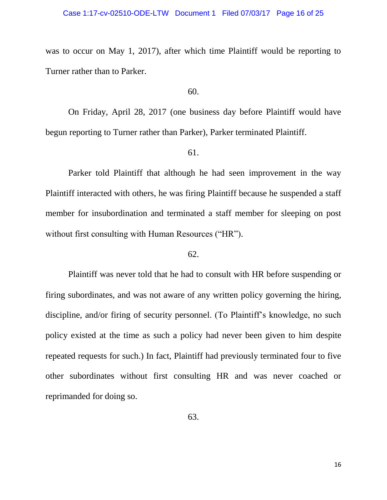#### Case 1:17-cv-02510-ODE-LTW Document 1 Filed 07/03/17 Page 16 of 25

was to occur on May 1, 2017), after which time Plaintiff would be reporting to Turner rather than to Parker.

## 60.

On Friday, April 28, 2017 (one business day before Plaintiff would have begun reporting to Turner rather than Parker), Parker terminated Plaintiff.

### 61.

Parker told Plaintiff that although he had seen improvement in the way Plaintiff interacted with others, he was firing Plaintiff because he suspended a staff member for insubordination and terminated a staff member for sleeping on post without first consulting with Human Resources ("HR").

## 62.

Plaintiff was never told that he had to consult with HR before suspending or firing subordinates, and was not aware of any written policy governing the hiring, discipline, and/or firing of security personnel. (To Plaintiff's knowledge, no such policy existed at the time as such a policy had never been given to him despite repeated requests for such.) In fact, Plaintiff had previously terminated four to five other subordinates without first consulting HR and was never coached or reprimanded for doing so.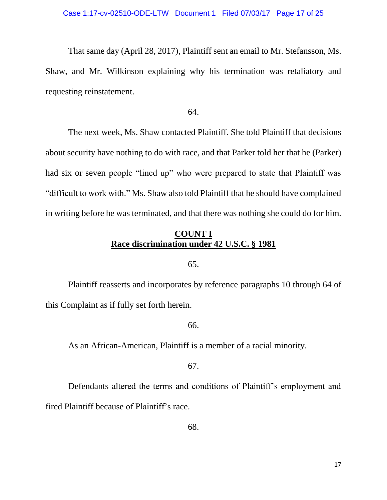That same day (April 28, 2017), Plaintiff sent an email to Mr. Stefansson, Ms. Shaw, and Mr. Wilkinson explaining why his termination was retaliatory and requesting reinstatement.

64.

The next week, Ms. Shaw contacted Plaintiff. She told Plaintiff that decisions about security have nothing to do with race, and that Parker told her that he (Parker) had six or seven people "lined up" who were prepared to state that Plaintiff was "difficult to work with." Ms. Shaw also told Plaintiff that he should have complained in writing before he was terminated, and that there was nothing she could do for him.

# **COUNT I Race discrimination under 42 U.S.C. § 1981**

### 65.

Plaintiff reasserts and incorporates by reference paragraphs 10 through 64 of this Complaint as if fully set forth herein.

## 66.

As an African-American, Plaintiff is a member of a racial minority.

### 67.

Defendants altered the terms and conditions of Plaintiff's employment and fired Plaintiff because of Plaintiff's race.

68.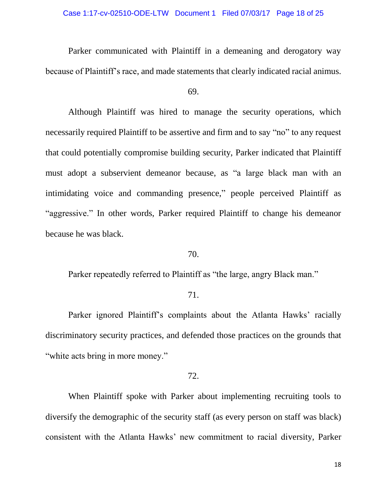#### Case 1:17-cv-02510-ODE-LTW Document 1 Filed 07/03/17 Page 18 of 25

Parker communicated with Plaintiff in a demeaning and derogatory way because of Plaintiff's race, and made statements that clearly indicated racial animus.

69.

Although Plaintiff was hired to manage the security operations, which necessarily required Plaintiff to be assertive and firm and to say "no" to any request that could potentially compromise building security, Parker indicated that Plaintiff must adopt a subservient demeanor because, as "a large black man with an intimidating voice and commanding presence," people perceived Plaintiff as "aggressive." In other words, Parker required Plaintiff to change his demeanor because he was black.

# 70.

Parker repeatedly referred to Plaintiff as "the large, angry Black man."

# 71.

Parker ignored Plaintiff's complaints about the Atlanta Hawks' racially discriminatory security practices, and defended those practices on the grounds that "white acts bring in more money."

# 72.

When Plaintiff spoke with Parker about implementing recruiting tools to diversify the demographic of the security staff (as every person on staff was black) consistent with the Atlanta Hawks' new commitment to racial diversity, Parker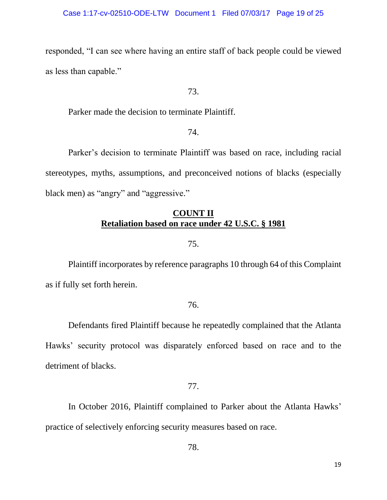responded, "I can see where having an entire staff of back people could be viewed as less than capable."

# 73.

Parker made the decision to terminate Plaintiff.

# 74.

Parker's decision to terminate Plaintiff was based on race, including racial stereotypes, myths, assumptions, and preconceived notions of blacks (especially black men) as "angry" and "aggressive."

# **COUNT II Retaliation based on race under 42 U.S.C. § 1981**

# 75.

Plaintiff incorporates by reference paragraphs 10 through 64 of this Complaint as if fully set forth herein.

## 76.

Defendants fired Plaintiff because he repeatedly complained that the Atlanta Hawks' security protocol was disparately enforced based on race and to the detriment of blacks.

# 77.

In October 2016, Plaintiff complained to Parker about the Atlanta Hawks' practice of selectively enforcing security measures based on race.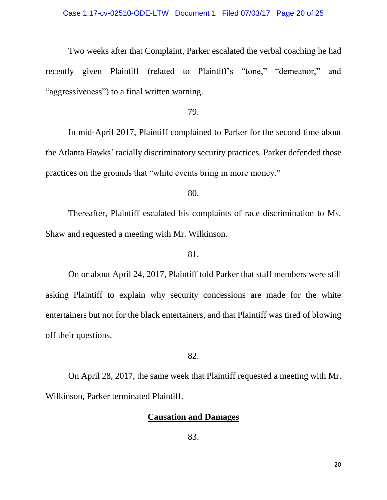## Case 1:17-cv-02510-ODE-LTW Document 1 Filed 07/03/17 Page 20 of 25

Two weeks after that Complaint, Parker escalated the verbal coaching he had recently given Plaintiff (related to Plaintiff's "tone," "demeanor," and "aggressiveness") to a final written warning.

## 79.

In mid-April 2017, Plaintiff complained to Parker for the second time about the Atlanta Hawks' racially discriminatory security practices. Parker defended those practices on the grounds that "white events bring in more money."

80.

Thereafter, Plaintiff escalated his complaints of race discrimination to Ms. Shaw and requested a meeting with Mr. Wilkinson.

# 81.

On or about April 24, 2017, Plaintiff told Parker that staff members were still asking Plaintiff to explain why security concessions are made for the white entertainers but not for the black entertainers, and that Plaintiff was tired of blowing off their questions.

### 82.

On April 28, 2017, the same week that Plaintiff requested a meeting with Mr. Wilkinson, Parker terminated Plaintiff.

# **Causation and Damages**

83.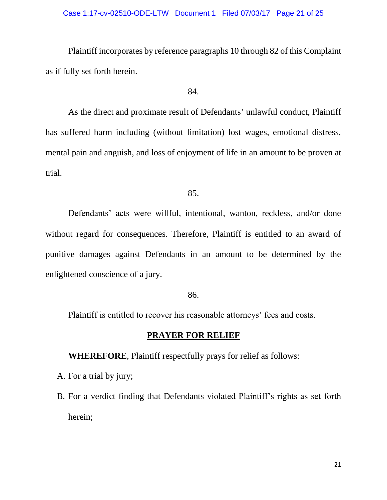#### Case 1:17-cv-02510-ODE-LTW Document 1 Filed 07/03/17 Page 21 of 25

Plaintiff incorporates by reference paragraphs 10 through 82 of this Complaint as if fully set forth herein.

## 84.

As the direct and proximate result of Defendants' unlawful conduct, Plaintiff has suffered harm including (without limitation) lost wages, emotional distress, mental pain and anguish, and loss of enjoyment of life in an amount to be proven at trial.

#### 85.

Defendants' acts were willful, intentional, wanton, reckless, and/or done without regard for consequences. Therefore, Plaintiff is entitled to an award of punitive damages against Defendants in an amount to be determined by the enlightened conscience of a jury.

### 86.

Plaintiff is entitled to recover his reasonable attorneys' fees and costs.

# **PRAYER FOR RELIEF**

**WHEREFORE**, Plaintiff respectfully prays for relief as follows:

- A. For a trial by jury;
- B. For a verdict finding that Defendants violated Plaintiff's rights as set forth herein;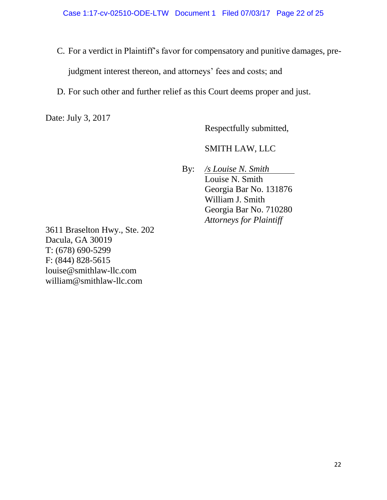- C. For a verdict in Plaintiff's favor for compensatory and punitive damages, prejudgment interest thereon, and attorneys' fees and costs; and
- D. For such other and further relief as this Court deems proper and just.

Date: July 3, 2017

Respectfully submitted,

SMITH LAW, LLC

By: */s Louise N. Smith* Louise N. Smith Georgia Bar No. 131876 William J. Smith Georgia Bar No. 710280 *Attorneys for Plaintiff*

3611 Braselton Hwy., Ste. 202 Dacula, GA 30019 T: (678) 690-5299 F: (844) 828-5615 [louise@smithlaw-llc.com](mailto:louise@smithlaw-llc.com) [william@smithlaw-llc.com](mailto:william@smithlaw-llc.com)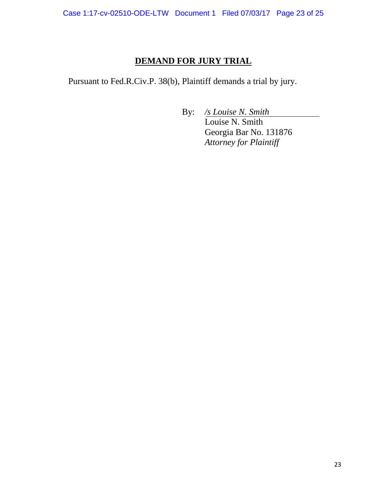# **DEMAND FOR JURY TRIAL**

Pursuant to Fed.R.Civ.P. 38(b), Plaintiff demands a trial by jury.

By: */s Louise N. Smith*

Louise N. Smith Georgia Bar No. 131876 *Attorney for Plaintiff*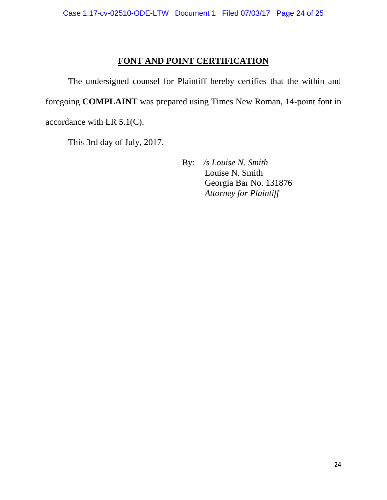# **FONT AND POINT CERTIFICATION**

The undersigned counsel for Plaintiff hereby certifies that the within and foregoing **COMPLAINT** was prepared using Times New Roman, 14-point font in accordance with LR 5.1(C).

This 3rd day of July, 2017.

By: */s Louise N. Smith* Louise N. Smith Georgia Bar No. 131876 *Attorney for Plaintiff*